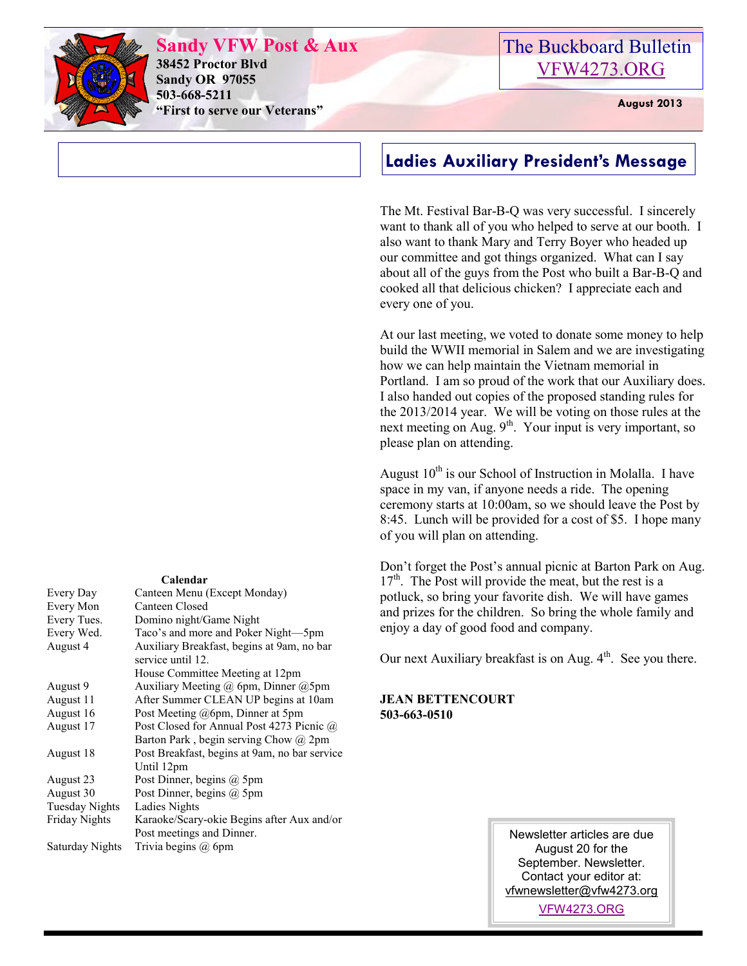

**Sandy VFW Post & Aux 38452 Proctor Blvd Sandy OR 97055 503-668-5211 "First to serve our Veterans" August 2013** 

## The Buckboard Bulletin [VFW4273.ORG](http://vfw4273.org/)

### **Ladies Auxiliary President's Message**

The Mt. Festival Bar-B-Q was very successful. I sincerely want to thank all of you who helped to serve at our booth. I also want to thank Mary and Terry Boyer who headed up our committee and got things organized. What can I say about all of the guys from the Post who built a Bar-B-Q and cooked all that delicious chicken? I appreciate each and every one of you.

At our last meeting, we voted to donate some money to help build the WWII memorial in Salem and we are investigating how we can help maintain the Vietnam memorial in Portland. I am so proud of the work that our Auxiliary does. I also handed out copies of the proposed standing rules for the 2013/2014 year. We will be voting on those rules at the next meeting on Aug.  $9<sup>th</sup>$ . Your input is very important, so please plan on attending.

August  $10^{th}$  is our School of Instruction in Molalla. I have space in my van, if anyone needs a ride. The opening ceremony starts at 10:00am, so we should leave the Post by 8:45. Lunch will be provided for a cost of \$5. I hope many of you will plan on attending.

Don't forget the Post's annual picnic at Barton Park on Aug.  $17<sup>th</sup>$ . The Post will provide the meat, but the rest is a potluck, so bring your favorite dish. We will have games and prizes for the children. So bring the whole family and enjoy a day of good food and company.

Our next Auxiliary breakfast is on Aug.  $4<sup>th</sup>$ . See you there.

#### **JEAN BETTENCOURT 503-663-0510**

| Every Tues.           | Domino night/Game Night                                         |  |  |
|-----------------------|-----------------------------------------------------------------|--|--|
| Every Wed.            | Taco's and more and Poker Night-5pm                             |  |  |
| August 4              | Auxiliary Breakfast, begins at 9am, no bar<br>service until 12. |  |  |
|                       | House Committee Meeting at 12pm                                 |  |  |
| August 9              | Auxiliary Meeting $(a)$ 6pm, Dinner $(a)$ 5pm                   |  |  |
| August 11             | After Summer CLEAN UP begins at 10am                            |  |  |
| August 16             | Post Meeting @6pm, Dinner at 5pm                                |  |  |
| August 17             | Post Closed for Annual Post 4273 Picnic @                       |  |  |
|                       | Barton Park, begin serving Chow @ 2pm                           |  |  |
| August 18             | Post Breakfast, begins at 9am, no bar service                   |  |  |
|                       | Until 12pm                                                      |  |  |
| August 23             | Post Dinner, begins $(a)$ 5pm                                   |  |  |
| August 30             | Post Dinner, begins $(a)$ 5pm                                   |  |  |
| <b>Tuesday Nights</b> | Ladies Nights                                                   |  |  |
| Friday Nights         | Karaoke/Scary-okie Begins after Aux and/or                      |  |  |
|                       | Post meetings and Dinner.                                       |  |  |
| Saturday Nights       | Trivia begins $(a)$ 6pm                                         |  |  |

Newsletter articles are due August 20 for the September. Newsletter. Contact your editor at: [vfwnewsletter@vfw4273.org](mailto:admin@vfw4273.org)

[VFW4273.ORG](http://vfw4273.org/)

#### **Calendar**

Every Day Canteen Menu (Except Monday)

Every Mon Canteen Closed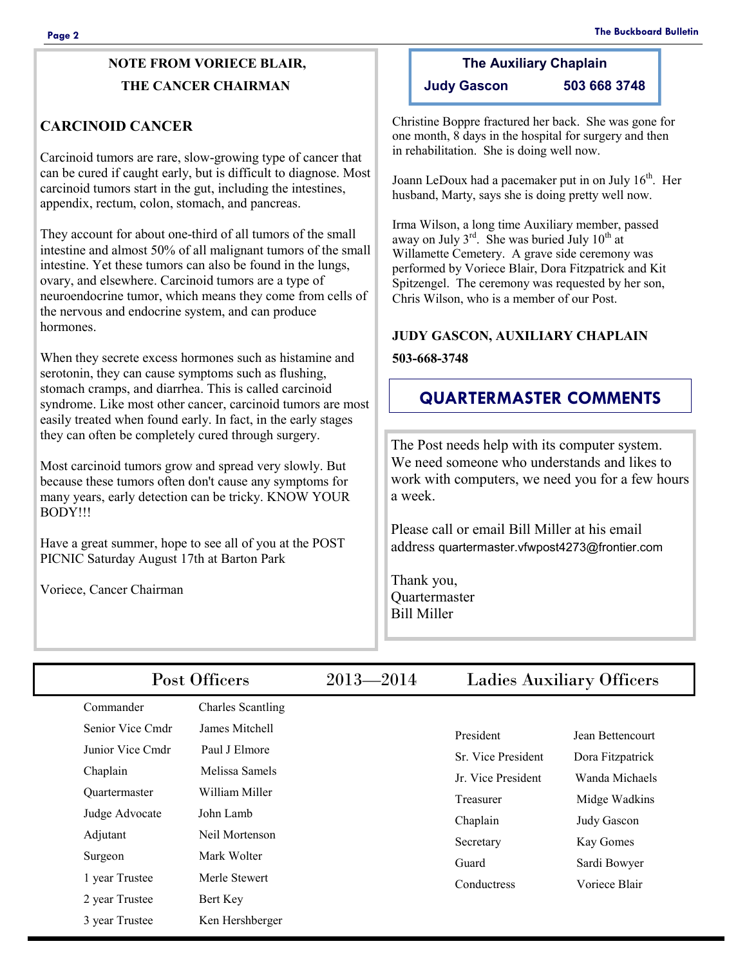### **NOTE FROM VORIECE BLAIR, THE CANCER CHAIRMAN**

#### **CARCINOID CANCER**

Carcinoid tumors are rare, slow-growing type of cancer that can be cured if caught early, but is difficult to diagnose. Most carcinoid tumors start in the gut, including the intestines, appendix, rectum, colon, stomach, and pancreas.

They account for about one-third of all tumors of the small intestine and almost 50% of all malignant tumors of the small intestine. Yet these tumors can also be found in the lungs, ovary, and elsewhere. Carcinoid tumors are a type of neuroendocrine tumor, which means they come from cells of the nervous and endocrine system, and can produce hormones.

When they secrete excess hormones such as histamine and serotonin, they can cause symptoms such as flushing, stomach cramps, and diarrhea. This is called carcinoid syndrome. Like most other cancer, carcinoid tumors are most easily treated when found early. In fact, in the early stages they can often be completely cured through surgery.

Most carcinoid tumors grow and spread very slowly. But because these tumors often don't cause any symptoms for many years, early detection can be tricky. KNOW YOUR BODY!!!

Have a great summer, hope to see all of you at the POST PICNIC Saturday August 17th at Barton Park

Voriece, Cancer Chairman

# **The Auxiliary Chaplain**

**Judy Gascon 503 668 3748**

Christine Boppre fractured her back. She was gone for one month, 8 days in the hospital for surgery and then in rehabilitation. She is doing well now.

Joann LeDoux had a pacemaker put in on July  $16<sup>th</sup>$ . Her husband, Marty, says she is doing pretty well now.

Irma Wilson, a long time Auxiliary member, passed away on July  $3^{rd}$ . She was buried July  $10^{th}$  at Willamette Cemetery. A grave side ceremony was performed by Voriece Blair, Dora Fitzpatrick and Kit Spitzengel. The ceremony was requested by her son, Chris Wilson, who is a member of our Post.

### **JUDY GASCON, AUXILIARY CHAPLAIN**

#### **503-668-3748**

### **QUARTERMASTER COMMENTS**

The Post needs help with its computer system. We need someone who understands and likes to work with computers, we need you for a few hours a week.

Please call or email Bill Miller at his email address quartermaster.vfwpost4273@frontier.com

Thank you, **Quartermaster** Bill Miller

|         | Post Officers    |                          | $2013 - 2014$ | <b>Ladies Auxiliary Officers</b> |                  |
|---------|------------------|--------------------------|---------------|----------------------------------|------------------|
|         | Commander        | <b>Charles Scantling</b> |               |                                  |                  |
|         | Senior Vice Cmdr | James Mitchell           |               | President                        | Jean Bettencourt |
|         | Junior Vice Cmdr | Paul J Elmore            |               | Sr. Vice President               | Dora Fitzpatrick |
|         | Chaplain         | Melissa Samels           |               | Jr. Vice President               | Wanda Michaels   |
|         | Quartermaster    | William Miller           |               | Treasurer                        | Midge Wadkins    |
|         | Judge Advocate   | John Lamb                |               | Chaplain                         | Judy Gascon      |
|         | Adjutant         | Neil Mortenson           |               | Secretary                        | Kay Gomes        |
| Surgeon |                  | Mark Wolter              |               | Guard                            | Sardi Bowyer     |
|         | 1 year Trustee   | Merle Stewert            |               | Conductress                      | Voriece Blair    |
|         | 2 year Trustee   | Bert Key                 |               |                                  |                  |
|         | 3 year Trustee   | Ken Hershberger          |               |                                  |                  |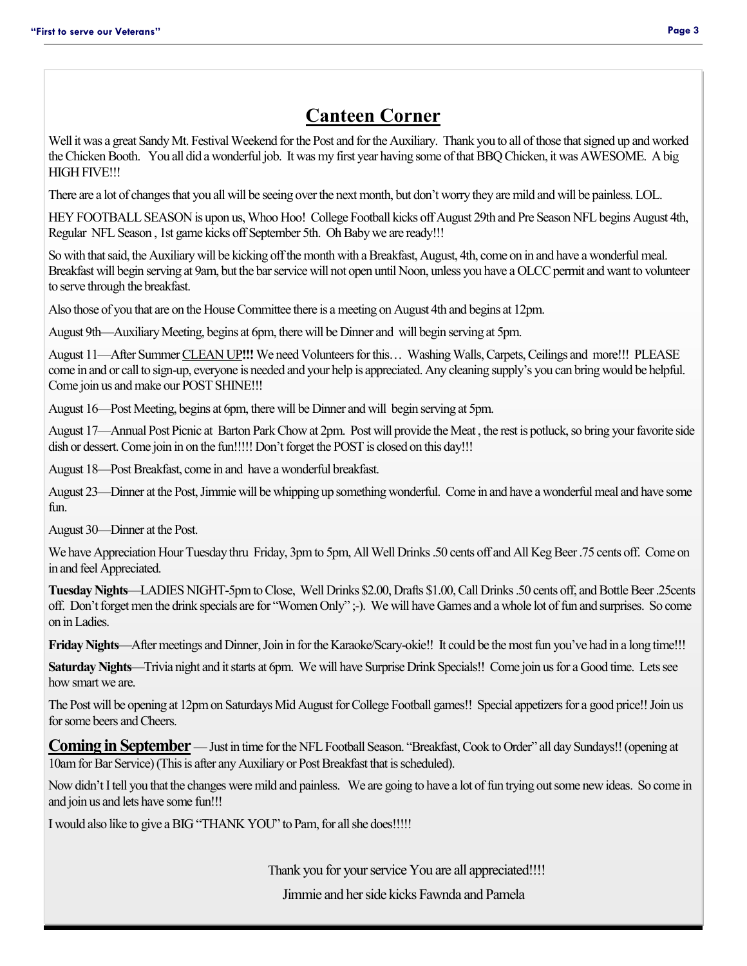# **Canteen Corner**

Well it was a great Sandy Mt. Festival Weekend for the Post and for the Auxiliary. Thank you to all of those that signed up and worked the Chicken Booth. You all did a wonderful job. It was my first year having some of that BBQ Chicken, it was AWESOME. A big HIGH FIVE!!!

There are a lot of changes that you all will be seeing over the next month, but don't worry they are mild and will be painless. LOL.

HEY FOOTBALL SEASON is upon us, Whoo Hoo! College Football kicks off August 29th and Pre Season NFL begins August 4th, Regular NFL Season , 1st game kicks off September 5th. Oh Baby we are ready!!!

So with that said, the Auxiliary will be kicking off the month with a Breakfast, August, 4th, come on in and have a wonderful meal. Breakfast will begin serving at 9am, but the bar service will not open until Noon, unless you have a OLCC permit and want to volunteer to serve through the breakfast.

Also those of you that are on the House Committee there is a meeting on August 4th and begins at 12pm.

August 9th—Auxiliary Meeting, begins at 6pm, there will be Dinner and will begin serving at 5pm.

August 11—After Summer CLEAN UP**!!!** We need Volunteers for this… Washing Walls, Carpets, Ceilings and more!!! PLEASE come in and or call to sign-up, everyone is needed and your help is appreciated. Any cleaning supply's you can bring would be helpful. Come join us and make our POST SHINE!!!

August 16—Post Meeting, begins at 6pm, there will be Dinner and will begin serving at 5pm.

August 17—Annual Post Picnic at Barton Park Chow at 2pm. Post will provide the Meat , the rest is potluck, so bring your favorite side dish or dessert. Come join in on the fun!!!!! Don't forget the POST is closed on this day!!!

August 18—Post Breakfast, come in and have a wonderful breakfast.

August 23—Dinner at the Post, Jimmie will be whipping up something wonderful. Come in and have a wonderful meal and have some  $fin$ 

August 30—Dinner at the Post.

We have Appreciation Hour Tuesday thru Friday, 3pm to 5pm, All Well Drinks .50 cents off and All Keg Beer .75 cents off. Come on in and feel Appreciated.

**Tuesday Nights**—LADIES NIGHT-5pm to Close, Well Drinks \$2.00, Drafts \$1.00, Call Drinks .50 cents off, and Bottle Beer .25cents off. Don't forget men the drink specials are for "Women Only" ;-). We will have Games and a whole lot of fun and surprises. So come on in Ladies.

**Friday Nights—After meetings and Dinner, Join in for the Karaoke/Scary-okie!!** It could be the most fun you've had in a long time!!!

**Saturday Nights**—Trivia night and it starts at 6pm. We will have Surprise Drink Specials!! Come join us for a Good time. Lets see how smart we are.

The Post will be opening at 12pm on Saturdays Mid August for College Football games!! Special appetizers for a good price!! Join us for some beers and Cheers.

**Coming in September** — Just in time for the NFL Football Season. "Breakfast, Cook to Order" all day Sundays!! (opening at 10am for Bar Service) (This is after any Auxiliary or Post Breakfast that is scheduled).

Now didn't I tell you that the changes were mild and painless. We are going to have a lot of fun trying out some new ideas. So come in and join us and lets have some fun!!!

I would also like to give a BIG "THANK YOU" to Pam, for all she does!!!!!

Thank you for your service You are all appreciated!!!!

Jimmie and her side kicks Fawnda and Pamela